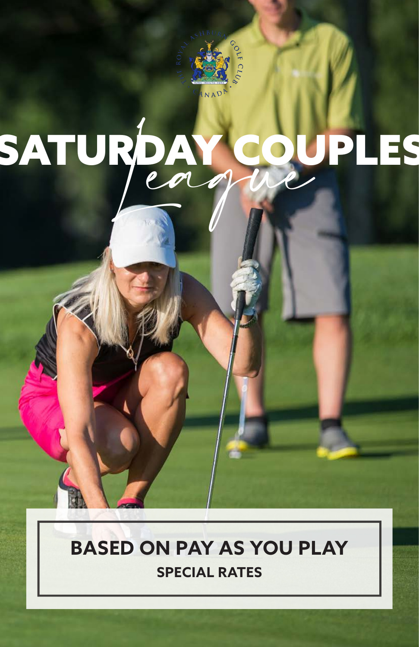

# SATURDAY COUPLES

# **BASED ON PAY AS YOU PLAY SPECIAL RATES**